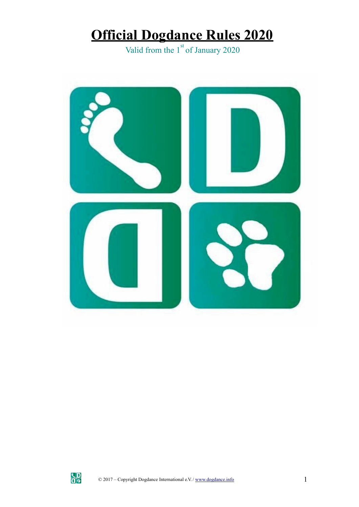# **Official Dogdance Rules 2020**

Valid from the  $1<sup>st</sup>$  of January 2020



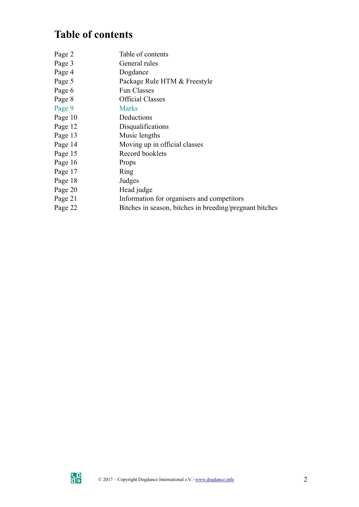# **Table of contents**

| Page 2  | Table of contents                                       |
|---------|---------------------------------------------------------|
| Page 3  | General rules                                           |
| Page 4  | Dogdance                                                |
| Page 5  | Package Rule HTM & Freestyle                            |
| Page 6  | <b>Fun Classes</b>                                      |
| Page 8  | <b>Official Classes</b>                                 |
| Page 9  | <b>Marks</b>                                            |
| Page 10 | Deductions                                              |
| Page 12 | Disqualifications                                       |
| Page 13 | Music lengths                                           |
| Page 14 | Moving up in official classes                           |
| Page 15 | Record booklets                                         |
| Page 16 | Props                                                   |
| Page 17 | Ring                                                    |
| Page 18 | Judges                                                  |
| Page 20 | Head judge                                              |
| Page 21 | Information for organisers and competitors              |
| Page 22 | Bitches in season, bitches in breeding/pregnant bitches |

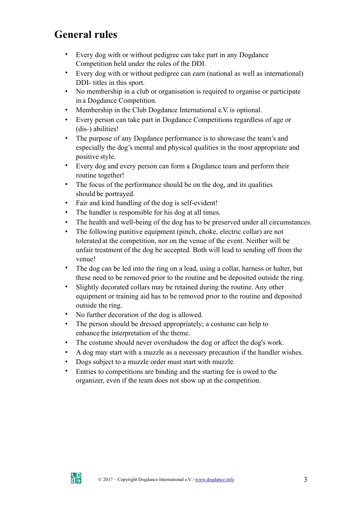# **General rules**

- Every dog with or without pedigree can take part in any Dogdance Competition held under the rules of the DDI.
- Every dog with or without pedigree can earn (national as well as international) DDI- titles in this sport.
- No membership in a club or organisation is required to organise or participate in a Dogdance Competition.
- Membership in the Club Dogdance International e.V. is optional.
- Every person can take part in Dogdance Competitions regardless of age or (dis-) abilities!
- The purpose of any Dogdance performance is to showcase the team's and especially the dog's mental and physical qualities in the most appropriate and positive style.
- Every dog and every person can form a Dogdance team and perform their routine together!
- The focus of the performance should be on the dog, and its qualities should be portrayed.
- Fair and kind handling of the dog is self-evident!
- The handler is responsible for his dog at all times.
- The health and well-being of the dog has to be preserved under all circumstances.
- The following punitive equipment (pinch, choke, electric collar) are not tolerated at the competition, nor on the venue of the event. Neither will be unfair treatment of the dog be accepted. Both will lead to sending off from the venue!
- The dog can be led into the ring on a lead, using a collar, harness or halter, but these need to be removed prior to the routine and be deposited outside the ring.
- Slightly decorated collars may be retained during the routine. Any other equipment or training aid has to be removed prior to the routine and deposited outside the ring.
- No further decoration of the dog is allowed.
- The person should be dressed appropriately; a costume can help to enhance the interpretation of the theme.
- The costume should never overshadow the dog or affect the dog's work.
- A dog may start with a muzzle as a necessary precaution if the handler wishes.
- Dogs subject to a muzzle order must start with muzzle.
- Entries to competitions are binding and the starting fee is owed to the organizer, even if the team does not show up at the competition.

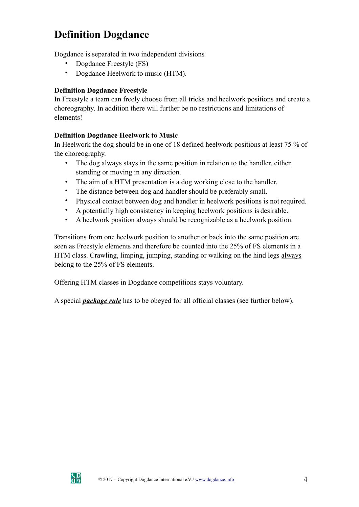# **Definition Dogdance**

Dogdance is separated in two independent divisions

- Dogdance Freestyle (FS)
- Dogdance Heelwork to music (HTM).

#### **Definition Dogdance Freestyle**

In Freestyle a team can freely choose from all tricks and heelwork positions and create a choreography. In addition there will further be no restrictions and limitations of elements!

#### **Definition Dogdance Heelwork to Music**

In Heelwork the dog should be in one of 18 defined heelwork positions at least 75 % of the choreography.

- The dog always stays in the same position in relation to the handler, either standing or moving in any direction.
- The aim of a HTM presentation is a dog working close to the handler.
- The distance between dog and handler should be preferably small.
- Physical contact between dog and handler in heelwork positions is not required.
- A potentially high consistency in keeping heelwork positions is desirable.
- A heelwork position always should be recognizable as a heelwork position.

Transitions from one heelwork position to another or back into the same position are seen as Freestyle elements and therefore be counted into the 25% of FS elements in a HTM class. Crawling, limping, jumping, standing or walking on the hind legs always belong to the 25% of FS elements.

Offering HTM classes in Dogdance competitions stays voluntary.

A special *package rule* has to be obeyed for all official classes (see further below).

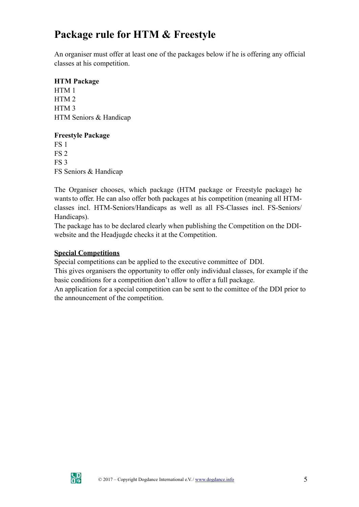# **Package rule for HTM & Freestyle**

An organiser must offer at least one of the packages below if he is offering any official classes at his competition.

### **HTM Package**

HTM 1 HTM 2 HTM 3 HTM Seniors & Handicap

#### **Freestyle Package**

FS 1 FS 2 FS 3 FS Seniors & Handicap

The Organiser chooses, which package (HTM package or Freestyle package) he wants to offer. He can also offer both packages at his competition (meaning all HTMclasses incl. HTM-Seniors/Handicaps as well as all FS-Classes incl. FS-Seniors/ Handicaps).

The package has to be declared clearly when publishing the Competition on the DDIwebsite and the Headjugde checks it at the Competition.

#### **Special Competitions**

Special competitions can be applied to the executive committee of DDI.

This gives organisers the opportunity to offer only individual classes, for example if the basic conditions for a competition don't allow to offer a full package.

An application for a special competition can be sent to the comittee of the DDI prior to the announcement of the competition.

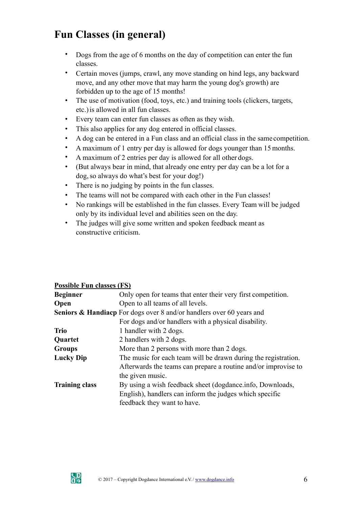# **Fun Classes (in general)**

- Dogs from the age of 6 months on the day of competition can enter the fun classes.
- Certain moves (jumps, crawl, any move standing on hind legs, any backward move, and any other move that may harm the young dog's growth) are forbidden up to the age of 15 months!
- The use of motivation (food, toys, etc.) and training tools (clickers, targets, etc.)is allowed in all fun classes.
- Every team can enter fun classes as often as they wish.
- This also applies for any dog entered in official classes.
- A dog can be entered in a Fun class and an official class in the same competition.
- A maximum of 1 entry per day is allowed for dogs younger than 15months.
- A maximum of 2 entries per day is allowed for all other dogs.
- (But always bear in mind, that already one entry per day can be a lot for a dog, so always do what's best for your dog!)
- There is no judging by points in the fun classes.
- The teams will not be compared with each other in the Fun classes!
- No rankings will be established in the fun classes. Every Team will be judged only by its individual level and abilities seen on the day.
- The judges will give some written and spoken feedback meant as constructive criticism.

## **Possible Fun classes (FS)**

| <b>Beginner</b>       | Only open for teams that enter their very first competition.                    |
|-----------------------|---------------------------------------------------------------------------------|
| Open                  | Open to all teams of all levels.                                                |
|                       | <b>Seniors &amp; Handiacp</b> For dogs over 8 and/or handlers over 60 years and |
|                       | For dogs and/or handlers with a physical disability.                            |
| <b>Trio</b>           | 1 handler with 2 dogs.                                                          |
| Quartet               | 2 handlers with 2 dogs.                                                         |
| <b>Groups</b>         | More than 2 persons with more than 2 dogs.                                      |
| <b>Lucky Dip</b>      | The music for each team will be drawn during the registration.                  |
|                       | Afterwards the teams can prepare a routine and/or improvise to                  |
|                       | the given music.                                                                |
| <b>Training class</b> | By using a wish feedback sheet (dogdance info, Downloads,                       |
|                       | English), handlers can inform the judges which specific                         |
|                       | feedback they want to have.                                                     |

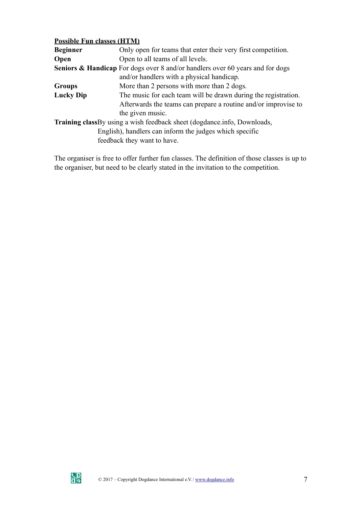#### **Possible Fun classes (HTM)**

| <b>Beginner</b>  | Only open for teams that enter their very first competition.                             |
|------------------|------------------------------------------------------------------------------------------|
| Open             | Open to all teams of all levels.                                                         |
|                  | <b>Seniors &amp; Handicap</b> For dogs over 8 and/or handlers over 60 years and for dogs |
|                  | and/or handlers with a physical handicap.                                                |
| <b>Groups</b>    | More than 2 persons with more than 2 dogs.                                               |
| <b>Lucky Dip</b> | The music for each team will be drawn during the registration.                           |
|                  | Afterwards the teams can prepare a routine and/or improvise to                           |
|                  | the given music.                                                                         |
|                  | <b>Training class</b> By using a wish feedback sheet (dogdance info, Downloads,          |
|                  | English), handlers can inform the judges which specific                                  |
|                  | feedback they want to have.                                                              |
|                  |                                                                                          |

The organiser is free to offer further fun classes. The definition of those classes is up to the organiser, but need to be clearly stated in the invitation to the competition.

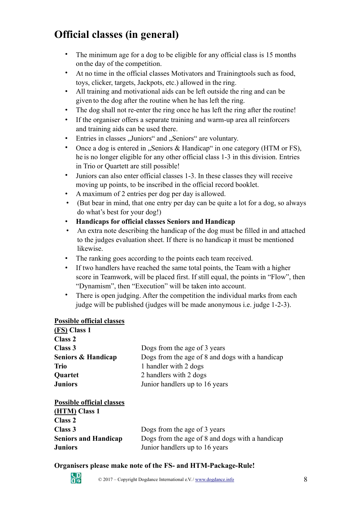# **Official classes (in general)**

- The minimum age for a dog to be eligible for any official class is 15 months on the day of the competition.
- At no time in the official classes Motivators and Trainingtools such as food, toys, clicker, targets, Jackpots, etc.) allowed in the ring.
- All training and motivational aids can be left outside the ring and can be given to the dog after the routine when he has left the ring.
- The dog shall not re-enter the ring once he has left the ring after the routine!
- If the organiser offers a separate training and warm-up area all reinforcers and training aids can be used there.
- Entries in classes "Juniors" and "Seniors" are voluntary.
- Once a dog is entered in "Seniors  $\&$  Handicap" in one category (HTM or FS), he is no longer eligible for any other official class 1-3 in this division. Entries in Trio or Quartett are still possible!
- Juniors can also enter official classes 1-3. In these classes they will receive moving up points, to be inscribed in the official record booklet.
- A maximum of 2 entries per dog per day is allowed.
- (But bear in mind, that one entry per day can be quite a lot for a dog, so always do what's best for your dog!)
- **Handicaps for official classes Seniors and Handicap**
- An extra note describing the handicap of the dog must be filled in and attached to the judges evaluation sheet. If there is no handicap it must be mentioned likewise.
- The ranking goes according to the points each team received.
- If two handlers have reached the same total points, the Team with a higher score in Teamwork, will be placed first. If still equal, the points in "Flow", then "Dynamism", then "Execution" will be taken into account.
- There is open judging. After the competition the individual marks from each judge will be published (judges will be made anonymous i.e. judge 1-2-3).

#### **Possible official classes**

| (FS) Class 1                     |                                                                          |  |  |  |
|----------------------------------|--------------------------------------------------------------------------|--|--|--|
| Class <sub>2</sub>               |                                                                          |  |  |  |
| Class 3                          | Dogs from the age of 3 years                                             |  |  |  |
| Seniors & Handicap               | Dogs from the age of 8 and dogs with a handicap<br>1 handler with 2 dogs |  |  |  |
| <b>Trio</b>                      |                                                                          |  |  |  |
| <b>Quartet</b>                   | 2 handlers with 2 dogs                                                   |  |  |  |
| <b>Juniors</b>                   | Junior handlers up to 16 years                                           |  |  |  |
| <b>Possible official classes</b> |                                                                          |  |  |  |
| (HTM) Class 1                    |                                                                          |  |  |  |
| Class <sub>2</sub>               |                                                                          |  |  |  |
| Class 3                          | Dogs from the age of 3 years                                             |  |  |  |
| <b>Seniors and Handicap</b>      | Dogs from the age of 8 and dogs with a handicap                          |  |  |  |

#### **Organisers please make note of the FS- and HTM-Package-Rule!**

**Juniors** Junior handlers up to 16 years

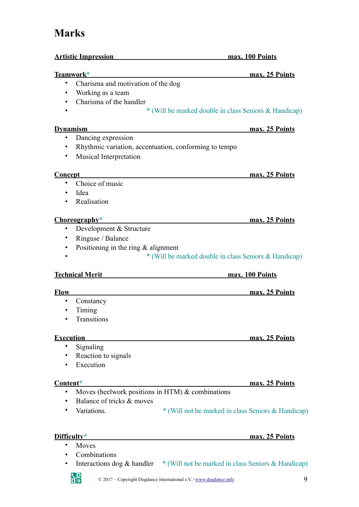# **Marks**

| <u>Artistic Impression</u>                               | max. 100 Points                                       |  |  |
|----------------------------------------------------------|-------------------------------------------------------|--|--|
| <u>Teamwork*</u>                                         | max. 25 Points                                        |  |  |
| Charisma and motivation of the dog<br>$\bullet$          |                                                       |  |  |
| Working as a team<br>$\bullet$                           |                                                       |  |  |
| Charisma of the handler                                  |                                                       |  |  |
|                                                          | * (Will be marked double in class Seniors & Handicap) |  |  |
| <b>Dynamism</b>                                          | max. 25 Points                                        |  |  |
| Dancing expression<br>٠                                  |                                                       |  |  |
| Rhythmic variation, accentuation, conforming to tempo    |                                                       |  |  |
| Musical Interpretation                                   |                                                       |  |  |
| <b>Concept</b>                                           | max. 25 Points                                        |  |  |
| Choice of music<br>٠                                     |                                                       |  |  |
| Idea                                                     |                                                       |  |  |
| Realisation                                              |                                                       |  |  |
| Choreography*                                            | max. 25 Points                                        |  |  |
| Development & Structure<br>٠                             |                                                       |  |  |
| Ringuse / Balance<br>٠                                   |                                                       |  |  |
| Positioning in the ring $&$ alignment<br>٠               |                                                       |  |  |
|                                                          | * (Will be marked double in class Seniors & Handicap) |  |  |
| <b>Technical Merit</b>                                   | max. 100 Points                                       |  |  |
| <b>Flow</b>                                              | max. 25 Points                                        |  |  |
| Constancy<br>$\bullet$                                   |                                                       |  |  |
| Timing                                                   |                                                       |  |  |
| Transitions                                              |                                                       |  |  |
| <b>Execution</b>                                         | max. 25 Points                                        |  |  |
| Signaling<br>٠                                           |                                                       |  |  |
| Reaction to signals                                      |                                                       |  |  |
| Execution                                                |                                                       |  |  |
| Content*                                                 | max. 25 Points                                        |  |  |
| Moves (heelwork positions in HTM) $\&$ combinations<br>٠ |                                                       |  |  |
| Balance of tricks & moves                                |                                                       |  |  |
| Variations.                                              | * (Will not be marked in class Seniors & Handicap)    |  |  |
|                                                          |                                                       |  |  |
| Difficulty*                                              | max. 25 Points                                        |  |  |
| Moves                                                    |                                                       |  |  |
| Combinations                                             |                                                       |  |  |

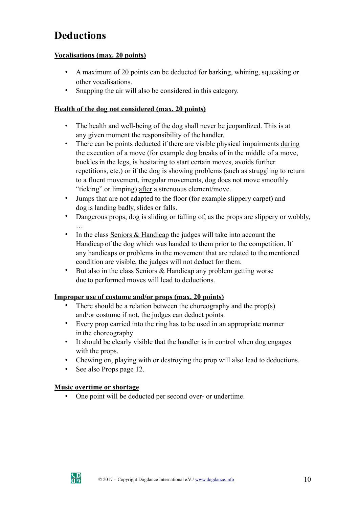# **Deductions**

#### **Vocalisations (max. 20 points)**

- A maximum of 20 points can be deducted for barking, whining, squeaking or other vocalisations.
- Snapping the air will also be considered in this category.

### **Health of the dog not considered (max. 20 points)**

- The health and well-being of the dog shall never be jeopardized. This is at any given moment the responsibility of the handler.
- There can be points deducted if there are visible physical impairments during the execution of a move (for example dog breaks of in the middle of a move, bucklesin the legs, is hesitating to start certain moves, avoids further repetitions, etc.) or if the dog is showing problems (such as struggling to return to a fluent movement, irregular movements, dog does not move smoothly "ticking" or limping) after a strenuous element/move.
- Jumps that are not adapted to the floor (for example slippery carpet) and dog is landing badly, slides or falls.
- Dangerous props, dog is sliding or falling of, as the props are slippery or wobbly, …
- In the class Seniors & Handicap the judges will take into account the Handicap of the dog which was handed to them prior to the competition. If any handicaps or problems in the movement that are related to the mentioned condition are visible, the judges will not deduct for them.
- But also in the class Seniors & Handicap any problem getting worse due to performed moves will lead to deductions.

## **Improper use of costume and/or props (max. 20 points)**

- There should be a relation between the choreography and the prop(s) and/or costume if not, the judges can deduct points.
- Every prop carried into the ring has to be used in an appropriate manner in the choreography
- It should be clearly visible that the handler is in control when dog engages with the props.
- Chewing on, playing with or destroying the prop will also lead to deductions.
- See also Props page 12.

#### **Music overtime or shortage**

• One point will be deducted per second over- or undertime.

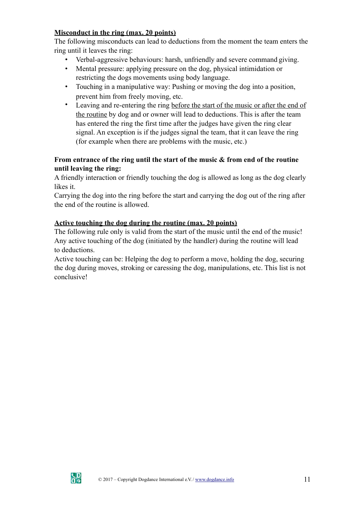## **Misconduct in the ring (max. 20 points)**

The following misconducts can lead to deductions from the moment the team enters the ring until it leaves the ring:

- Verbal-aggressive behaviours: harsh, unfriendly and severe command giving.
- Mental pressure: applying pressure on the dog, physical intimidation or restricting the dogs movements using body language.
- Touching in a manipulative way: Pushing or moving the dog into a position, prevent him from freely moving, etc.
- Leaving and re-entering the ring before the start of the music or after the end of the routine by dog and or owner will lead to deductions. This is after the team has entered the ring the first time after the judges have given the ring clear signal. An exception is if the judges signal the team, that it can leave the ring (for example when there are problems with the music, etc.)

### **From entrance of the ring until the start of the music & from end of the routine until leaving the ring:**

A friendly interaction or friendly touching the dog is allowed as long as the dog clearly likes it.

Carrying the dog into the ring before the start and carrying the dog out of the ring after the end of the routine is allowed.

## **Active touching the dog during the routine (max. 20 points)**

The following rule only is valid from the start of the music until the end of the music! Any active touching of the dog (initiated by the handler) during the routine will lead to deductions.

Active touching can be: Helping the dog to perform a move, holding the dog, securing the dog during moves, stroking or caressing the dog, manipulations, etc. This list is not conclusive!

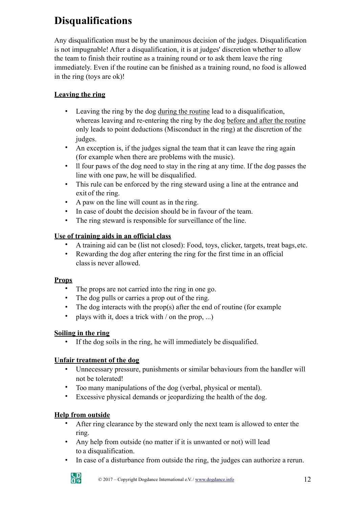# **Disqualifications**

Any disqualification must be by the unanimous decision of the judges. Disqualification is not impugnable! After a disqualification, it is at judges' discretion whether to allow the team to finish their routine as a training round or to ask them leave the ring immediately. Even if the routine can be finished as a training round, no food is allowed in the ring (toys are ok)!

# **Leaving the ring**

- Leaving the ring by the dog during the routine lead to a disqualification, whereas leaving and re-entering the ring by the dog before and after the routine only leads to point deductions (Misconduct in the ring) at the discretion of the judges.
- An exception is, if the judges signal the team that it can leave the ring again (for example when there are problems with the music).
- ll four paws of the dog need to stay in the ring at any time. If the dog passes the line with one paw, he will be disqualified.
- This rule can be enforced by the ring steward using a line at the entrance and exit of the ring.
- A paw on the line will count as in the ring.
- In case of doubt the decision should be in favour of the team.
- The ring steward is responsible for surveillance of the line.

# **Use of training aids in an official class**

- A training aid can be (list not closed): Food, toys, clicker, targets, treat bags,etc.
- Rewarding the dog after entering the ring for the first time in an official classis never allowed.

## **Props**

- The props are not carried into the ring in one go.
- The dog pulls or carries a prop out of the ring.
- The dog interacts with the prop(s) after the end of routine (for example
- plays with it, does a trick with / on the prop, ...)

## **Soiling in the ring**

• If the dog soils in the ring, he will immediately be disqualified.

## **Unfair treatment of the dog**

- Unnecessary pressure, punishments or similar behaviours from the handler will not be tolerated!
- Too many manipulations of the dog (verbal, physical or mental).
- Excessive physical demands or jeopardizing the health of the dog.

## **Help from outside**

- After ring clearance by the steward only the next team is allowed to enter the ring.
- Any help from outside (no matter if it is unwanted or not) will lead to a disqualification.
- In case of a disturbance from outside the ring, the judges can authorize a rerun.

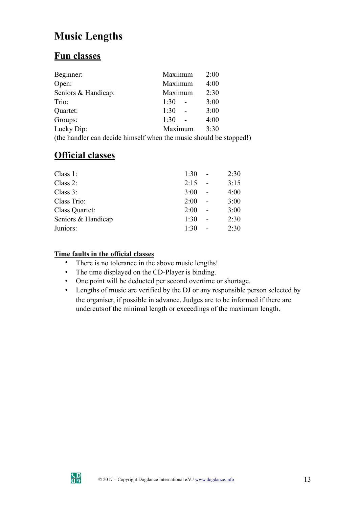# **Music Lengths**

# **Fun classes**

| Beginner:                                                        | Maximum | 2:00 |
|------------------------------------------------------------------|---------|------|
| Open:                                                            | Maximum | 4:00 |
| Seniors & Handicap:                                              | Maximum | 2:30 |
| Trio:                                                            | 1:30    | 3:00 |
| Quartet:                                                         | 1:30    | 3:00 |
| Groups:                                                          | 1:30    | 4:00 |
| Lucky Dip:                                                       | Maximum | 3:30 |
| (the handler can decide himself when the music should be stopped |         |      |

(the handler can decide himself when the music should be stopped!)

# **Official classes**

| Class $1$ :        | 1:30 | 2:30 |
|--------------------|------|------|
| Class $2$ :        | 2:15 | 3:15 |
| Class $3$ :        | 3:00 | 4:00 |
| Class Trio:        | 2:00 | 3:00 |
| Class Quartet:     | 2:00 | 3:00 |
| Seniors & Handicap | 1:30 | 2:30 |
| Juniors:           | 1:30 | 2:30 |

# **Time faults in the official classes**

- There is no tolerance in the above music lengths!
- The time displayed on the CD-Player is binding.
- One point will be deducted per second overtime or shortage.
- Lengths of music are verified by the DJ or any responsible person selected by the organiser, if possible in advance. Judges are to be informed if there are undercutsof the minimal length or exceedings of the maximum length.

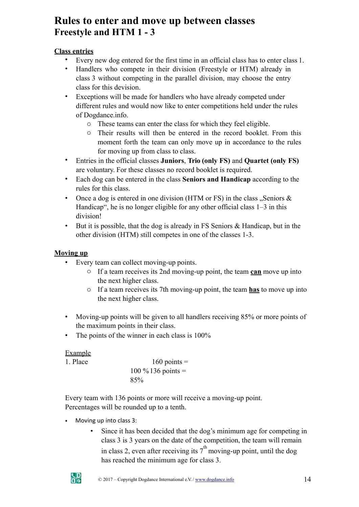# **Rules to enter and move up between classes Freestyle and HTM 1 - 3**

# **Class entries**

- Every new dog entered for the first time in an official class has to enter class 1.
- Handlers who compete in their division (Freestyle or HTM) already in class 3 without competing in the parallel division, may choose the entry class for this devision.
- Exceptions will be made for handlers who have already competed under different rules and would now like to enter competitions held under the rules of Dogdance.info.
	- o These teams can enter the class for which they feel eligible.
	- o Their results will then be entered in the record booklet. From this moment forth the team can only move up in accordance to the rules for moving up from class to class.
- Entries in the official classes **Juniors**, **Trio (only FS)** and **Quartet (only FS)**  are voluntary. For these classes no record booklet is required.
- Each dog can be entered in the class **Seniors and Handicap** according to the rules for this class.
- Once a dog is entered in one division (HTM or FS) in the class  $\mathcal{S}$ , Seniors & Handicap", he is no longer eligible for any other official class  $1-3$  in this division!
- But it is possible, that the dog is already in FS Seniors  $\&$  Handicap, but in the other division (HTM) still competes in one of the classes 1-3.

# **Moving up**

- Every team can collect moving-up points.
	- o If a team receives its 2nd moving-up point, the team **can** move up into the next higher class.
	- o If a team receives its 7th moving-up point, the team **has** to move up into the next higher class.
- Moving-up points will be given to all handlers receiving 85% or more points of the maximum points in their class.
- The points of the winner in each class is 100%

Example 1. Place  $160 \text{ points} =$  $100 \% 136$  points = 85%

Every team with 136 points or more will receive a moving-up point. Percentages will be rounded up to a tenth.

- Moving up into class 3:
	- Since it has been decided that the dog's minimum age for competing in class 3 is 3 years on the date of the competition, the team will remain in class 2, even after receiving its  $7<sup>th</sup>$  moving-up point, until the dog has reached the minimum age for class 3.

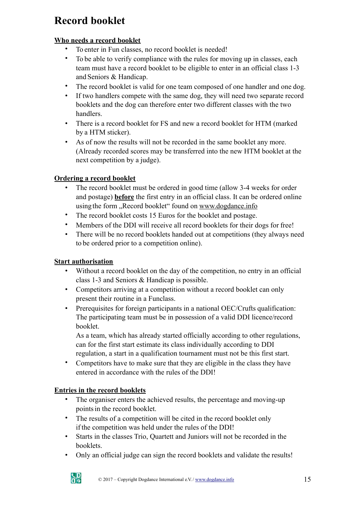# **Record booklet**

# **Who needs a record booklet**

- To enter in Fun classes, no record booklet is needed!
- To be able to verify compliance with the rules for moving up in classes, each team must have a record booklet to be eligible to enter in an official class 1-3 and Seniors & Handicap.
- The record booklet is valid for one team composed of one handler and one dog.
- If two handlers compete with the same dog, they will need two separate record booklets and the dog can therefore enter two different classes with the two handlers.
- There is a record booklet for FS and new a record booklet for HTM (marked by a HTM sticker).
- As of now the results will not be recorded in the same booklet any more. (Already recorded scores may be transferred into the new HTM booklet at the next competition by a judge).

# **Ordering a record booklet**

- The record booklet must be ordered in good time (allow 3-4 weeks for order and postage) **before** the first entry in an official class. It can be ordered online using the form "Record booklet" found on [www.dogdance.info](http://www.dogdance.info/)
- The record booklet costs 15 Euros for the booklet and postage.
- Members of the DDI will receive all record booklets for their dogs for free!
- There will be no record booklets handed out at competitions (they always need to be ordered prior to a competition online).

## **Start authorisation**

- Without a record booklet on the day of the competition, no entry in an official class 1-3 and Seniors & Handicap is possible.
- Competitors arriving at a competition without a record booklet can only present their routine in a Funclass.
- Prerequisites for foreign participants in a national OEC/Crufts qualification: The participating team must be in possession of a valid DDI licence/record booklet.

As a team, which has already started officially according to other regulations, can for the first start estimate its class individually according to DDI regulation, a start in a qualification tournament must not be this first start.

• Competitors have to make sure that they are eligible in the class they have entered in accordance with the rules of the DDI!

## **Entries in the record booklets**

- The organiser enters the achieved results, the percentage and moving-up pointsin the record booklet.
- The results of a competition will be cited in the record booklet only if the competition was held under the rules of the DDI!
- Starts in the classes Trio, Quartett and Juniors will not be recorded in the booklets.
- Only an official judge can sign the record booklets and validate the results!

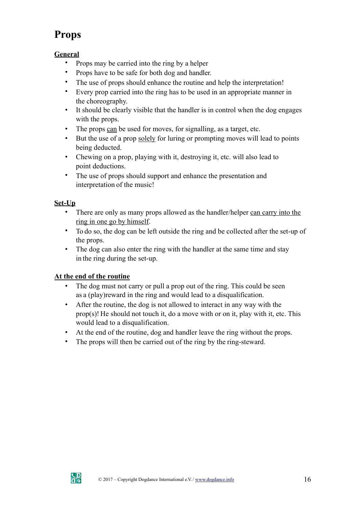# **Props**

# **General**

- Props may be carried into the ring by a helper
- Props have to be safe for both dog and handler.
- The use of props should enhance the routine and help the interpretation!
- Every prop carried into the ring has to be used in an appropriate manner in the choreography.
- It should be clearly visible that the handler is in control when the dog engages with the props.
- The props can be used for moves, for signalling, as a target, etc.
- But the use of a prop solely for luring or prompting moves will lead to points being deducted.
- Chewing on a prop, playing with it, destroying it, etc. will also lead to point deductions.
- The use of props should support and enhance the presentation and interpretation of the music!

# **Set-Up**

- There are only as many props allowed as the handler/helper can carry into the ring in one go by himself.
- To do so, the dog can be left outside the ring and be collected after the set-up of the props.
- The dog can also enter the ring with the handler at the same time and stay in the ring during the set-up.

# **At the end of the routine**

- The dog must not carry or pull a prop out of the ring. This could be seen as a (play)reward in the ring and would lead to a disqualification.
- After the routine, the dog is not allowed to interact in any way with the prop(s)! He should not touch it, do a move with or on it, play with it, etc. This would lead to a disqualification.
- At the end of the routine, dog and handler leave the ring without the props.
- The props will then be carried out of the ring by the ring-steward.

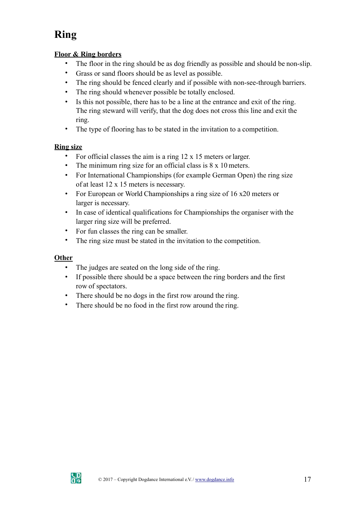# **Ring**

### **Floor & Ring borders**

- The floor in the ring should be as dog friendly as possible and should be non-slip.
- Grass or sand floors should be as level as possible.
- The ring should be fenced clearly and if possible with non-see-through barriers.
- The ring should whenever possible be totally enclosed.
- Is this not possible, there has to be a line at the entrance and exit of the ring. The ring steward will verify, that the dog does not cross this line and exit the ring.
- The type of flooring has to be stated in the invitation to a competition.

## **Ring size**

- For official classes the aim is a ring 12 x 15 meters or larger.
- The minimum ring size for an official class is  $8 \times 10$  meters.
- For International Championships (for example German Open) the ring size of at least 12 x 15 meters is necessary.
- For European or World Championships a ring size of 16 x20 meters or larger is necessary.
- In case of identical qualifications for Championships the organiser with the larger ring size will be preferred.
- For fun classes the ring can be smaller.
- The ring size must be stated in the invitation to the competition.

# **Other**

- The judges are seated on the long side of the ring.
- If possible there should be a space between the ring borders and the first row of spectators.
- There should be no dogs in the first row around the ring.
- There should be no food in the first row around the ring.

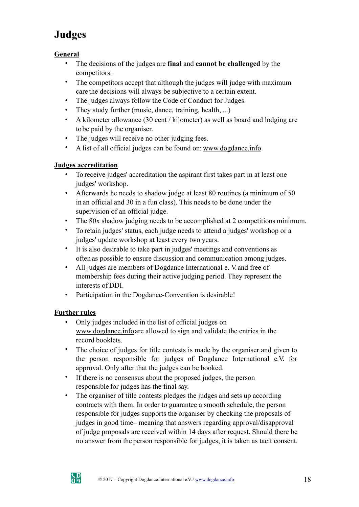# **Judges**

# **General**

- The decisions of the judges are **final** and **cannot be challenged** by the competitors.
- The competitors accept that although the judges will judge with maximum care the decisions will always be subjective to a certain extent.
- The judges always follow the Code of Conduct for Judges.
- They study further (music, dance, training, health, ...)
- A kilometer allowance (30 cent / kilometer) as well as board and lodging are tobe paid by the organiser.
- The judges will receive no other judging fees.
- A list of all official judges can be found on: [www.dogdance.info](http://www.dogdance.info/)

# **Judges accreditation**

- To receive judges' accreditation the aspirant first takes part in at least one judges' workshop.
- Afterwards he needs to shadow judge at least 80 routines (a minimum of 50 in an official and 30 in a fun class). This needs to be done under the supervision of an official judge.
- The 80x shadow judging needs to be accomplished at 2 competitions minimum.
- To retain judges' status, each judge needs to attend a judges' workshop or a judges' update workshop at least every two years.
- It is also desirable to take part in judges' meetings and conventions as often as possible to ensure discussion and communication among judges.
- All judges are members of Dogdance International e. V and free of membership fees during their active judging period. They represent the interests of DDI.
- Participation in the Dogdance-Convention is desirable!

## **Further rules**

- Only judges included in the list of official judges on [www.dogdance.infoa](http://www.dogdance.info/)re allowed to sign and validate the entries in the record booklets.
- The choice of judges for title contests is made by the organiser and given to the person responsible for judges of Dogdance International e.V. for approval. Only after that the judges can be booked.
- If there is no consensus about the proposed judges, the person responsible for judges has the final say.
- The organiser of title contests pledges the judges and sets up according contracts with them. In order to guarantee a smooth schedule, the person responsible for judges supports the organiser by checking the proposals of judges in good time– meaning that answers regarding approval/disapproval of judge proposals are received within 14 days after request. Should there be no answer from the person responsible for judges, it is taken as tacit consent.

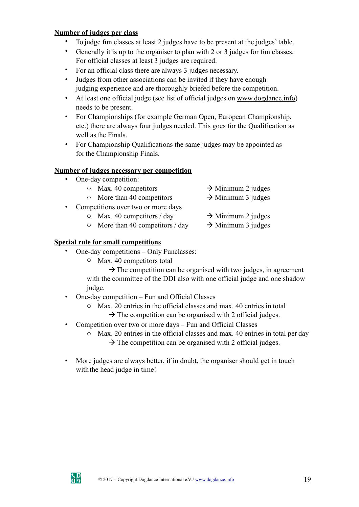#### **Number of judges per class**

- To judge fun classes at least 2 judges have to be present at the judges' table.
- Generally it is up to the organiser to plan with 2 or 3 judges for fun classes. For official classes at least 3 judges are required.
- For an official class there are always 3 judges necessary.
- Judges from other associations can be invited if they have enough judging experience and are thoroughly briefed before the competition.
- At least one official judge (see list of official judges on [www.dogdance.info\)](http://www.dogdance.info/) needs to be present.
- For Championships (for example German Open, European Championship, etc.) there are always four judges needed. This goes for the Qualification as well asthe Finals.
- For Championship Qualifications the same judges may be appointed as for the Championship Finals.

#### **Number of judges necessary per competition**

- One-day competition:
	- $\circ$  Max. 40 competitors  $\rightarrow$  Minimum 2 judges
	- $\circ$  More than 40 competitors  $\rightarrow$  Minimum 3 judges
- Competitions over two or more days
	- $\circ$  Max. 40 competitors / day  $\rightarrow$  Minimum 2 judges
		-
	- $\circ$  More than 40 competitors / day  $\rightarrow$  Minimum 3 judges

#### **Special rule for small competitions**

- One-day competitions Only Funclasses:
	- o Max. 40 competitors total

 $\rightarrow$  The competition can be organised with two judges, in agreement with the committee of the DDI also with one official judge and one shadow judge.

- One-day competition Fun and Official Classes
	- o Max. 20 entries in the official classes and max. 40 entries in total  $\rightarrow$  The competition can be organised with 2 official judges.
- Competition over two or more days Fun and Official Classes
	- o Max. 20 entries in the official classes and max. 40 entries in total per day  $\rightarrow$  The competition can be organised with 2 official judges.
- More judges are always better, if in doubt, the organiser should get in touch with the head judge in time!

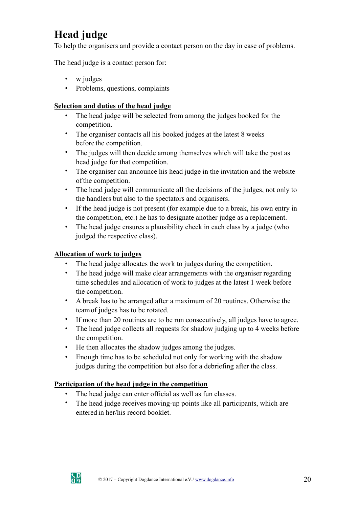# **Head judge**

To help the organisers and provide a contact person on the day in case of problems.

The head judge is a contact person for:

- w judges
- Problems, questions, complaints

## **Selection and duties of the head judge**

- The head judge will be selected from among the judges booked for the competition.
- The organiser contacts all his booked judges at the latest 8 weeks before the competition.
- The judges will then decide among themselves which will take the post as head judge for that competition.
- The organiser can announce his head judge in the invitation and the website ofthe competition.
- The head judge will communicate all the decisions of the judges, not only to the handlers but also to the spectators and organisers.
- If the head judge is not present (for example due to a break, his own entry in the competition, etc.) he has to designate another judge as a replacement.
- The head judge ensures a plausibility check in each class by a judge (who judged the respective class).

## **Allocation of work to judges**

- The head judge allocates the work to judges during the competition.
- The head judge will make clear arrangements with the organiser regarding time schedules and allocation of work to judges at the latest 1 week before the competition.
- A break has to be arranged after a maximum of 20 routines. Otherwise the teamof judges has to be rotated.
- If more than 20 routines are to be run consecutively, all judges have to agree.
- The head judge collects all requests for shadow judging up to 4 weeks before the competition.
- He then allocates the shadow judges among the judges.
- Enough time has to be scheduled not only for working with the shadow judges during the competition but also for a debriefing after the class.

## **Participation of the head judge in the competition**

- The head judge can enter official as well as fun classes.
- The head judge receives moving-up points like all participants, which are entered in her/his record booklet.

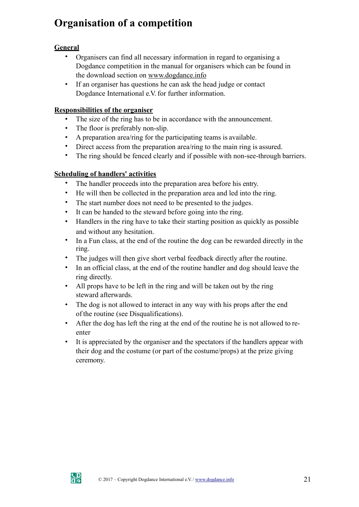# **Organisation of a competition**

# **General**

- Organisers can find all necessary information in regard to organising a Dogdance competition in the manual for organisers which can be found in the download section on [www.dogdance.info](http://www.dogdance.info/)
- If an organiser has questions he can ask the head judge or contact Dogdance International e.V. for further information.

# **Responsibilities of the organiser**

- The size of the ring has to be in accordance with the announcement.
- The floor is preferably non-slip.
- A preparation area/ring for the participating teams is available.
- Direct access from the preparation area/ring to the main ring is assured.
- The ring should be fenced clearly and if possible with non-see-through barriers.

# **Scheduling of handlers' activities**

- The handler proceeds into the preparation area before his entry.
- He will then be collected in the preparation area and led into the ring.
- The start number does not need to be presented to the judges.
- It can be handed to the steward before going into the ring.
- Handlers in the ring have to take their starting position as quickly as possible and without any hesitation.
- In a Fun class, at the end of the routine the dog can be rewarded directly in the ring.
- The judges will then give short verbal feedback directly after the routine.
- In an official class, at the end of the routine handler and dog should leave the ring directly.
- All props have to be left in the ring and will be taken out by the ring steward afterwards.
- The dog is not allowed to interact in any way with his props after the end of the routine (see Disqualifications).
- After the dog has left the ring at the end of the routine he is not allowed to reenter
- It is appreciated by the organiser and the spectators if the handlers appear with their dog and the costume (or part of the costume/props) at the prize giving ceremony.